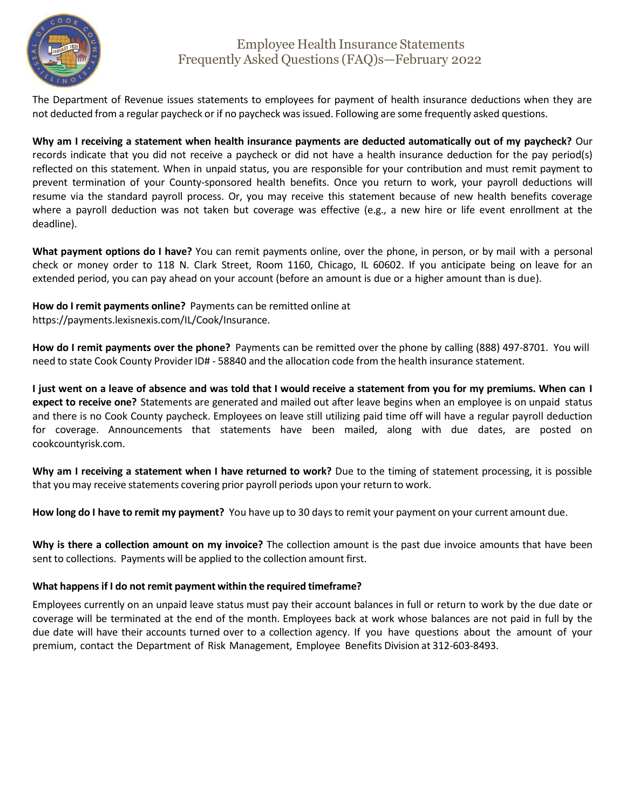

## Employee Health Insurance Statements Frequently Asked Questions (FAQ)s—February 2022

The Department of Revenue issues statements to employees for payment of health insurance deductions when they are not deducted from a regular paycheck or if no paycheck wasissued. Following are some frequently asked questions.

Why am I receiving a statement when health insurance payments are deducted automatically out of my paycheck? Our records indicate that you did not receive a paycheck or did not have a health insurance deduction for the pay period(s) reflected on this statement. When in unpaid status, you are responsible for your contribution and must remit payment to prevent termination of your County-sponsored health benefits. Once you return to work, your payroll deductions will resume via the standard payroll process. Or, you may receive this statement because of new health benefits coverage where a payroll deduction was not taken but coverage was effective (e.g., a new hire or life event enrollment at the deadline).

**What payment options do I have?** You can remit payments online, over the phone, in person, or by mail with a personal check or money order to 118 N. Clark Street, Room 1160, Chicago, IL 60602. If you anticipate being on leave for an extended period, you can pay ahead on your account (before an amount is due or a higher amount than is due).

**How do I remit payments online?** Payments can be remitted online at https://payments.lexisnexis.com/IL/Cook/Insurance.

**How do I remit payments over the phone?** Payments can be remitted over the phone by calling (888) 497-8701. You will need to state Cook County Provider ID# - 58840 and the allocation code from the health insurance statement.

I just went on a leave of absence and was told that I would receive a statement from you for my premiums. When can I **expect to receive one?** Statements are generated and mailed out after leave begins when an employee is on unpaid status and there is no Cook County paycheck. Employees on leave still utilizing paid time off will have a regular payroll deduction for coverage. Announcements that statements have been mailed, along with due dates, are posted on cookcountyrisk.com.

**Why am I receiving a statement when I have returned to work?** Due to the timing of statement processing, it is possible that you may receive statements covering prior payroll periods upon your return to work.

**How long do I have to remit my payment?** You have up to 30 daysto remit your payment on your current amount due.

**Why is there a collection amount on my invoice?** The collection amount is the past due invoice amounts that have been sent to collections. Payments will be applied to the collection amount first.

## **What happensif I do not remit payment within the required timeframe?**

Employees currently on an unpaid leave status must pay their account balances in full or return to work by the due date or coverage will be terminated at the end of the month. Employees back at work whose balances are not paid in full by the due date will have their accounts turned over to a collection agency. If you have questions about the amount of your premium, contact the Department of Risk Management, Employee Benefits Division at 312-603-8493.